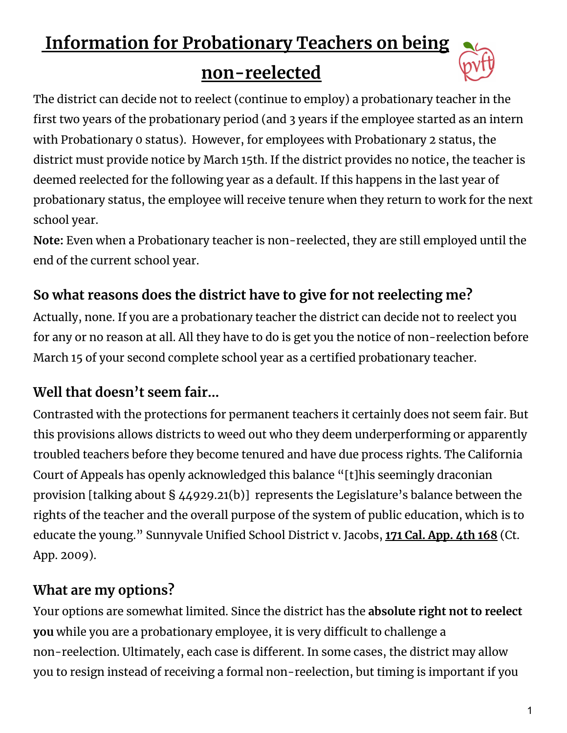# **Information for Probationary Teachers on being**

## **non-reelected**



The district can decide not to reelect (continue to employ) a probationary teacher in the first two years of the probationary period (and 3 years if the employee started as an intern with Probationary 0 status). However, for employees with Probationary 2 status, the district must provide notice by March 15th. If the district provides no notice, the teacher is deemed reelected for the following year as a default. If this happens in the last year of probationary status, the employee will receive tenure when they return to work for the next school year.

**Note:** Even when a Probationary teacher is non-reelected, they are still employed until the end of the current school year.

#### **So what reasons does the district have to give for not reelecting me?**

Actually, none. If you are a probationary teacher the district can decide not to reelect you for any or no reason at all. All they have to do is get you the notice of non-reelection before March 15 of your second complete school year as a certified probationary teacher.

### **Well that doesn't seem fair…**

Contrasted with the protections for permanent teachers it certainly does not seem fair. But this provisions allows districts to weed out who they deem underperforming or apparently troubled teachers before they become tenured and have due process rights. The California Court of Appeals has openly acknowledged this balance "[t]his seemingly draconian provision [talking about § 44929.21(b)] represents the Legislature's balance between the rights of the teacher and the overall purpose of the system of public education, which is to educate the young." Sunnyvale Unified School District v. Jacobs, **171 Cal. [App.](https://scholar.google.com/scholar_case?case=11969899172712731374&hl=en&as_sdt=2006) 4th 168** (Ct. App. 2009).

### **What are my options?**

Your options are somewhat limited. Since the district has the **absolute right not to reelect you** while you are a probationary employee, it is very difficult to challenge a non-reelection. Ultimately, each case is different. In some cases, the district may allow you to resign instead of receiving a formal non-reelection, but timing is important if you